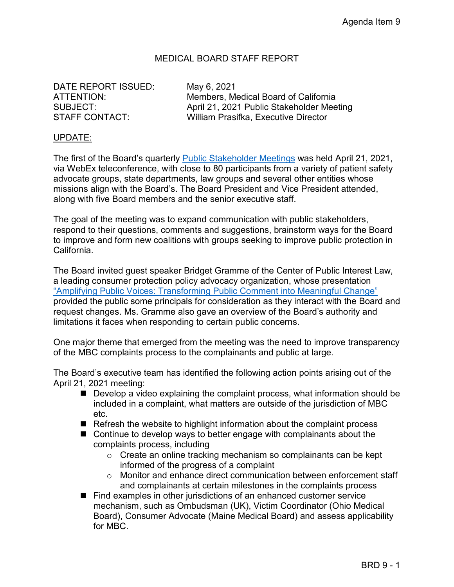## MEDICAL BOARD STAFF REPORT

DATE REPORT ISSUED: May 6, 2021

ATTENTION: Members, Medical Board of California SUBJECT: April 21, 2021 Public Stakeholder Meeting STAFF CONTACT: William Prasifka, Executive Director

## UPDATE:

The first of the Board's quarterly [Public Stakeholder Meetings](https://www.youtube.com/watch?v=Zcyx-9Ic2Ic) was held April 21, 2021, via WebEx teleconference, with close to 80 participants from a variety of patient safety advocate groups, state departments, law groups and several other entities whose missions align with the Board's. The Board President and Vice President attended, along with five Board members and the senior executive staff.

The goal of the meeting was to expand communication with public stakeholders, respond to their questions, comments and suggestions, brainstorm ways for the Board to improve and form new coalitions with groups seeking to improve public protection in California.

The Board invited guest speaker Bridget Gramme of the Center of Public Interest Law, a leading consumer protection policy advocacy organization, whose presentation ["Amplifying Public Voices: Transforming Public Comment into Meaningful Change"](https://www.mbc.ca.gov/About_Us/Meetings/Materials/2166/stake-Material1-20210421.pdf) provided the public some principals for consideration as they interact with the Board and request changes. Ms. Gramme also gave an overview of the Board's authority and limitations it faces when responding to certain public concerns.

One major theme that emerged from the meeting was the need to improve transparency of the MBC complaints process to the complainants and public at large.

The Board's executive team has identified the following action points arising out of the April 21, 2021 meeting:

- Develop a video explaining the complaint process, what information should be included in a complaint, what matters are outside of the jurisdiction of MBC etc.
- Refresh the website to highlight information about the complaint process
- Continue to develop ways to better engage with complainants about the complaints process, including
	- $\circ$  Create an online tracking mechanism so complainants can be kept informed of the progress of a complaint
	- o Monitor and enhance direct communication between enforcement staff and complainants at certain milestones in the complaints process
- Find examples in other jurisdictions of an enhanced customer service mechanism, such as Ombudsman (UK), Victim Coordinator (Ohio Medical Board), Consumer Advocate (Maine Medical Board) and assess applicability for MBC.